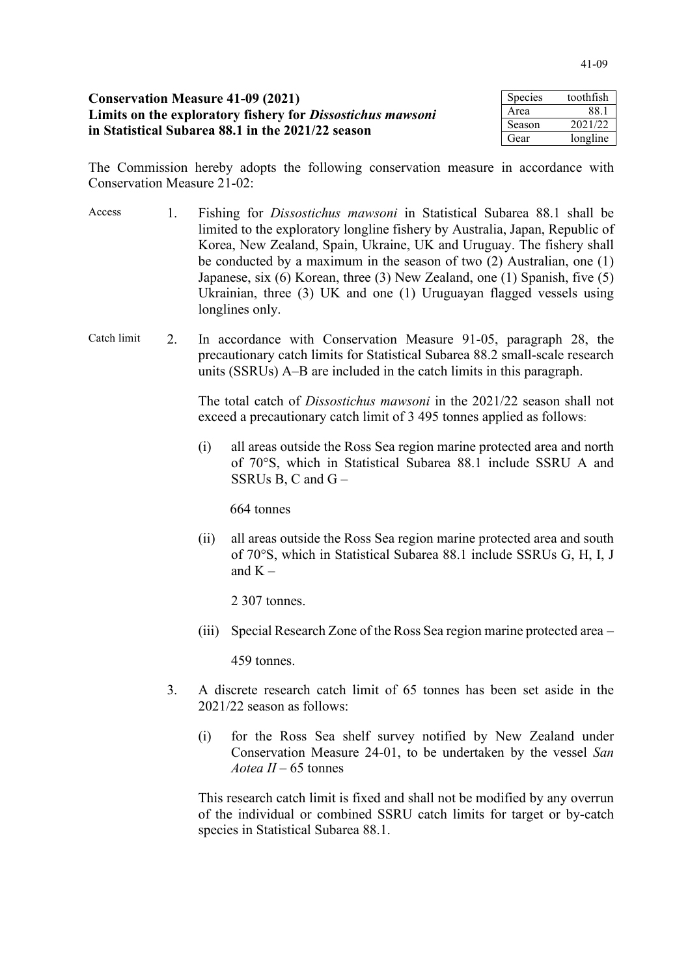| <b>Conservation Measure 41-09 (2021)</b>                   | Species | toothfish |
|------------------------------------------------------------|---------|-----------|
| Limits on the exploratory fishery for Dissostichus mawsoni |         | - 88. i   |
| in Statistical Subarea 88.1 in the 2021/22 season          | Season  | 2021/22   |
|                                                            | Gear    | longline  |

The Commission hereby adopts the following conservation measure in accordance with Conservation Measure 21-02:

- Access 1. Fishing for *Dissostichus mawsoni* in Statistical Subarea 88.1 shall be limited to the exploratory longline fishery by Australia, Japan, Republic of Korea, New Zealand, Spain, Ukraine, UK and Uruguay. The fishery shall be conducted by a maximum in the season of two (2) Australian, one (1) Japanese, six (6) Korean, three (3) New Zealand, one (1) Spanish, five (5) Ukrainian, three (3) UK and one (1) Uruguayan flagged vessels using longlines only.
- Catch limit 2. In accordance with Conservation Measure 91-05, paragraph 28, the precautionary catch limits for Statistical Subarea 88.2 small-scale research units (SSRUs) A–B are included in the catch limits in this paragraph.

The total catch of *Dissostichus mawsoni* in the 2021/22 season shall not exceed a precautionary catch limit of 3 495 tonnes applied as follows:

(i) all areas outside the Ross Sea region marine protected area and north of 70°S, which in Statistical Subarea 88.1 include SSRU A and SSRUs B, C and  $G -$ 

664 tonnes

(ii) all areas outside the Ross Sea region marine protected area and south of 70°S, which in Statistical Subarea 88.1 include SSRUs G, H, I, J and  $K -$ 

2 307 tonnes.

(iii) Special Research Zone of the Ross Sea region marine protected area –

459 tonnes.

- 3. A discrete research catch limit of 65 tonnes has been set aside in the 2021/22 season as follows:
	- (i) for the Ross Sea shelf survey notified by New Zealand under Conservation Measure 24-01, to be undertaken by the vessel *San Aotea II* – 65 tonnes

This research catch limit is fixed and shall not be modified by any overrun of the individual or combined SSRU catch limits for target or by-catch species in Statistical Subarea 88.1.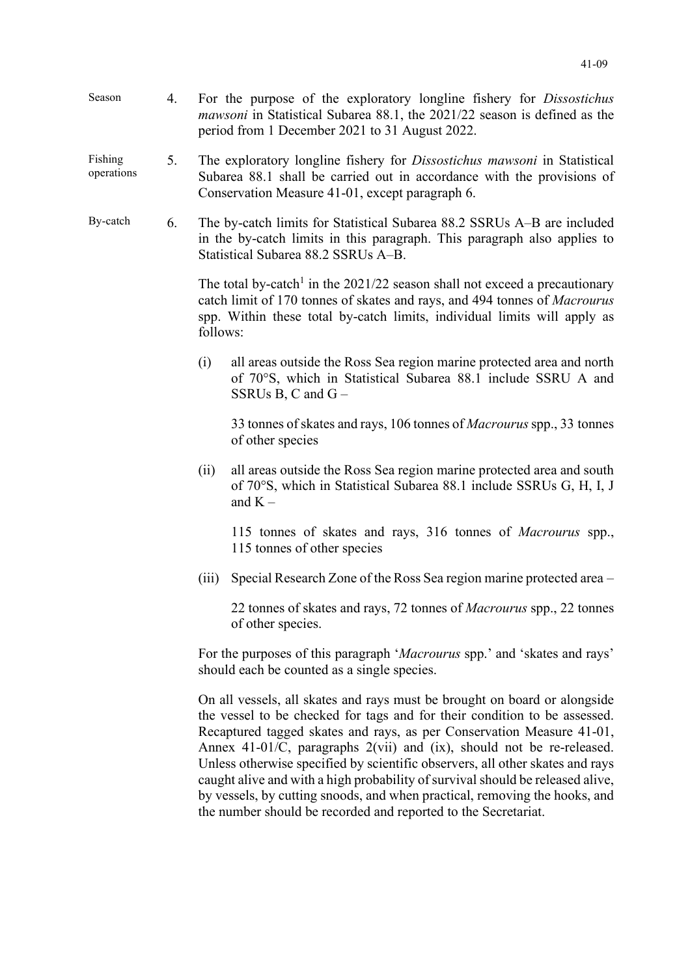| Season | For the purpose of the exploratory longline fishery for <i>Dissostichus</i>      |
|--------|----------------------------------------------------------------------------------|
|        | <i>mawsoni</i> in Statistical Subarea 88.1, the 2021/22 season is defined as the |
|        | period from 1 December 2021 to 31 August 2022.                                   |

## Fishing operations 5. The exploratory longline fishery for *Dissostichus mawsoni* in Statistical Subarea 88.1 shall be carried out in accordance with the provisions of Conservation Measure 41-01, except paragraph 6.

By-catch 6. The by-catch limits for Statistical Subarea 88.2 SSRUs A–B are included in the by-catch limits in this paragraph. This paragraph also applies to Statistical Subarea 88.2 SSRUs A–B.

> The total by-catch<sup>1</sup> in the 2021/22 season shall not exceed a precautionary catch limit of 170 tonnes of skates and rays, and 494 tonnes of *Macrourus* spp. Within these total by-catch limits, individual limits will apply as follows:

> (i) all areas outside the Ross Sea region marine protected area and north of 70°S, which in Statistical Subarea 88.1 include SSRU A and SSRUs B, C and G –

33 tonnes of skates and rays, 106 tonnes of *Macrourus*spp., 33 tonnes of other species

(ii) all areas outside the Ross Sea region marine protected area and south of 70°S, which in Statistical Subarea 88.1 include SSRUs G, H, I, J and  $K -$ 

115 tonnes of skates and rays, 316 tonnes of *Macrourus* spp., 115 tonnes of other species

(iii) Special Research Zone of the Ross Sea region marine protected area –

22 tonnes of skates and rays, 72 tonnes of *Macrourus* spp., 22 tonnes of other species.

For the purposes of this paragraph '*Macrourus* spp.' and 'skates and rays' should each be counted as a single species.

On all vessels, all skates and rays must be brought on board or alongside the vessel to be checked for tags and for their condition to be assessed. Recaptured tagged skates and rays, as per Conservation Measure 41-01, Annex 41-01/C, paragraphs 2(vii) and (ix), should not be re-released. Unless otherwise specified by scientific observers, all other skates and rays caught alive and with a high probability of survival should be released alive, by vessels, by cutting snoods, and when practical, removing the hooks, and the number should be recorded and reported to the Secretariat.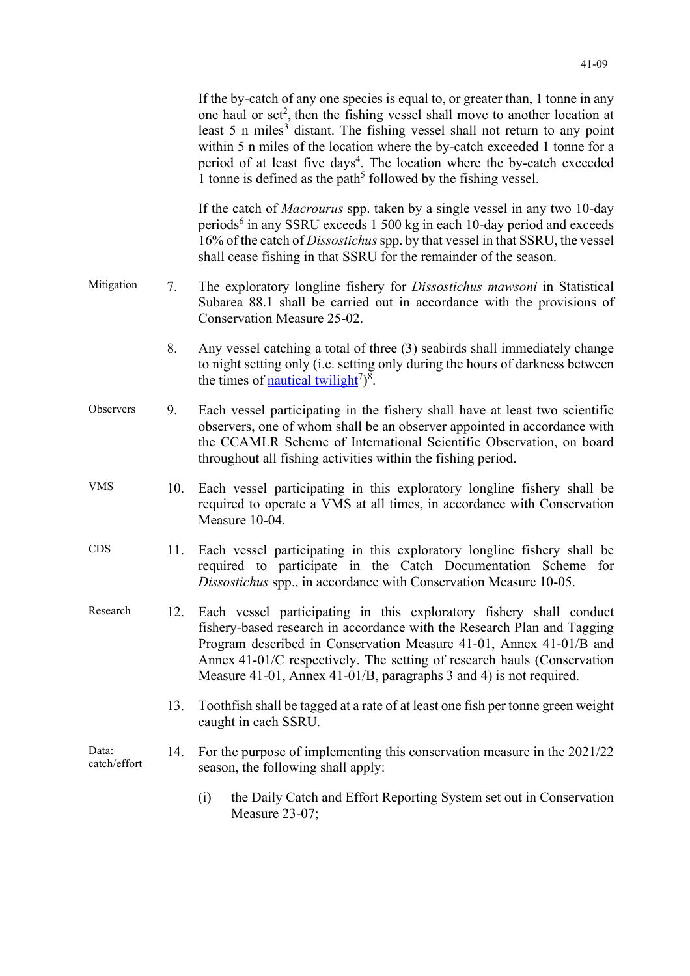|                       |     | If the by-catch of any one species is equal to, or greater than, 1 tonne in any<br>one haul or set <sup>2</sup> , then the fishing vessel shall move to another location at<br>least 5 n miles <sup>3</sup> distant. The fishing vessel shall not return to any point<br>within 5 n miles of the location where the by-catch exceeded 1 tonne for a<br>period of at least five days <sup>4</sup> . The location where the by-catch exceeded<br>1 tonne is defined as the path <sup>5</sup> followed by the fishing vessel. |
|-----------------------|-----|----------------------------------------------------------------------------------------------------------------------------------------------------------------------------------------------------------------------------------------------------------------------------------------------------------------------------------------------------------------------------------------------------------------------------------------------------------------------------------------------------------------------------|
|                       |     | If the catch of <i>Macrourus</i> spp. taken by a single vessel in any two 10-day<br>periods <sup>6</sup> in any SSRU exceeds 1 500 kg in each 10-day period and exceeds<br>16% of the catch of <i>Dissostichus</i> spp. by that vessel in that SSRU, the vessel<br>shall cease fishing in that SSRU for the remainder of the season.                                                                                                                                                                                       |
| Mitigation            | 7.  | The exploratory longline fishery for <i>Dissostichus mawsoni</i> in Statistical<br>Subarea 88.1 shall be carried out in accordance with the provisions of<br>Conservation Measure 25-02.                                                                                                                                                                                                                                                                                                                                   |
|                       | 8.  | Any vessel catching a total of three (3) seabirds shall immediately change<br>to night setting only (i.e. setting only during the hours of darkness between<br>the times of <u>nautical twilight</u> <sup>7</sup> $)^8$ .                                                                                                                                                                                                                                                                                                  |
| Observers             | 9.  | Each vessel participating in the fishery shall have at least two scientific<br>observers, one of whom shall be an observer appointed in accordance with<br>the CCAMLR Scheme of International Scientific Observation, on board<br>throughout all fishing activities within the fishing period.                                                                                                                                                                                                                             |
| <b>VMS</b>            | 10. | Each vessel participating in this exploratory longline fishery shall be<br>required to operate a VMS at all times, in accordance with Conservation<br>Measure 10-04.                                                                                                                                                                                                                                                                                                                                                       |
| <b>CDS</b>            | 11. | Each vessel participating in this exploratory longline fishery shall be<br>required to participate in the Catch Documentation Scheme for<br>Dissostichus spp., in accordance with Conservation Measure 10-05.                                                                                                                                                                                                                                                                                                              |
| Research              | 12. | Each vessel participating in this exploratory fishery shall conduct<br>fishery-based research in accordance with the Research Plan and Tagging<br>Program described in Conservation Measure 41-01, Annex 41-01/B and<br>Annex 41-01/C respectively. The setting of research hauls (Conservation<br>Measure 41-01, Annex 41-01/B, paragraphs 3 and 4) is not required.                                                                                                                                                      |
|                       | 13. | Toothfish shall be tagged at a rate of at least one fish per tonne green weight<br>caught in each SSRU.                                                                                                                                                                                                                                                                                                                                                                                                                    |
| Data:<br>catch/effort | 14. | For the purpose of implementing this conservation measure in the 2021/22<br>season, the following shall apply:                                                                                                                                                                                                                                                                                                                                                                                                             |
|                       |     | (i)<br>the Daily Catch and Effort Reporting System set out in Conservation<br>Measure 23-07;                                                                                                                                                                                                                                                                                                                                                                                                                               |